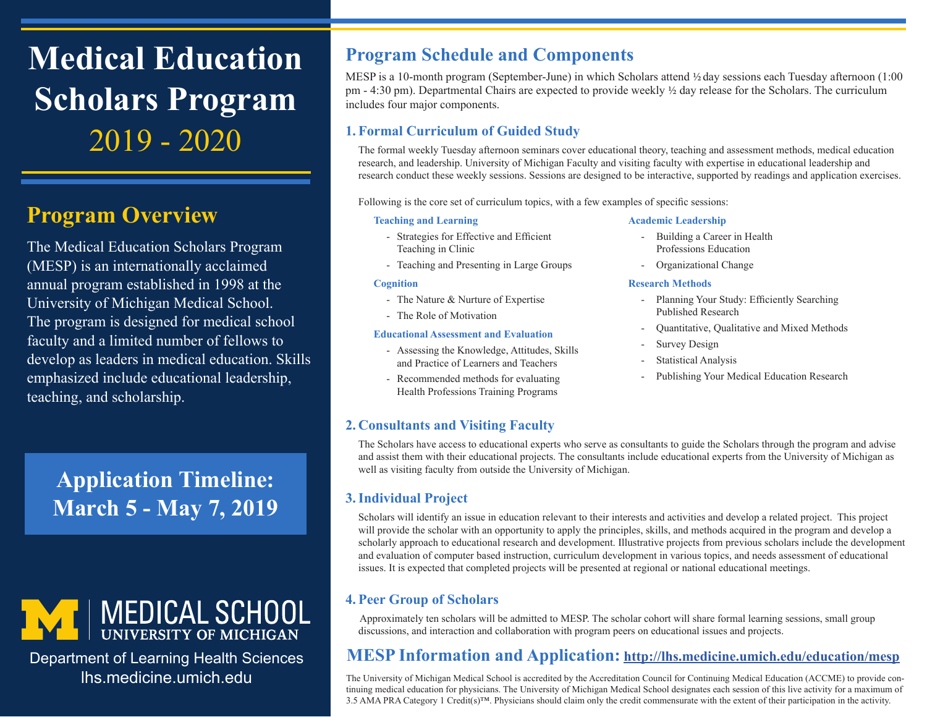**Medical Education Scholars Program** 2019 - 2020

# **Program Overview**

The Medical Education Scholars Program (MESP) is an internationally acclaimed annual program established in 1998 at the University of Michigan Medical School. The program is designed for medical school faculty and a limited number of fellows to develop as leaders in medical education. Skills emphasized include educational leadership, teaching, and scholarship.

# **Application Timeline: March 5 - May 7, 2019**



Department of Learning Health Sciences lhs.medicine.umich.edu

# **Program Schedule and Components**

MESP is a 10-month program (September-June) in which Scholars attend  $\frac{1}{2}$  day sessions each Tuesday afternoon (1:00) pm - 4:30 pm). Departmental Chairs are expected to provide weekly 1/2 day release for the Scholars. The curriculum includes four major components.

### **1. Formal Curriculum of Guided Study**

The formal weekly Tuesday afternoon seminars cover educational theory, teaching and assessment methods, medical education research, and leadership. University of Michigan Faculty and visiting faculty with expertise in educational leadership and research conduct these weekly sessions. Sessions are designed to be interactive, supported by readings and application exercises.

Following is the core set of curriculum topics, with a few examples of specific sessions:

#### **Teaching and Learning**

- Strategies for Effective and Efficient Teaching in Clinic
- Teaching and Presenting in Large Groups

#### **Cognition**

- The Nature & Nurture of Expertise
- The Role of Motivation

#### **Educational Assessment and Evaluation**

- Assessing the Knowledge, Attitudes, Skills and Practice of Learners and Teachers
- Recommended methods for evaluating Health Professions Training Programs

#### **2. Consultants and Visiting Faculty**

#### **Academic Leadership**

- Building a Career in Health Professions Education
- Organizational Change

#### **Research Methods**

- Planning Your Study: Efficiently Searching Published Research
- Quantitative, Qualitative and Mixed Methods
- Survey Design
- Statistical Analysis
- Publishing Your Medical Education Research

The Scholars have access to educational experts who serve as consultants to guide the Scholars through the program and advise and assist them with their educational projects. The consultants include educational experts from the University of Michigan as well as visiting faculty from outside the University of Michigan.

#### **3.Individual Project**

Scholars will identify an issue in education relevant to their interests and activities and develop a related project. This project will provide the scholar with an opportunity to apply the principles, skills, and methods acquired in the program and develop a scholarly approach to educational research and development. Illustrative projects from previous scholars include the development and evaluation of computer based instruction, curriculum development in various topics, and needs assessment of educational issues. It is expected that completed projects will be presented at regional or national educational meetings.

### **4. Peer Group of Scholars**

Approximately ten scholars will be admitted to MESP. The scholar cohort will share formal learning sessions, small group discussions, and interaction and collaboration with program peers on educational issues and projects.

### **MESP Information and Application: <http://lhs.medicine.umich.edu/education/mesp>**

The University of Michigan Medical School is accredited by the Accreditation Council for Continuing Medical Education (ACCME) to provide continuing medical education for physicians. The University of Michigan Medical School designates each session of this live activity for a maximum of 3.5 AMA PRA Category 1 Credit(s)™. Physicians should claim only the credit commensurate with the extent of their participation in the activity.